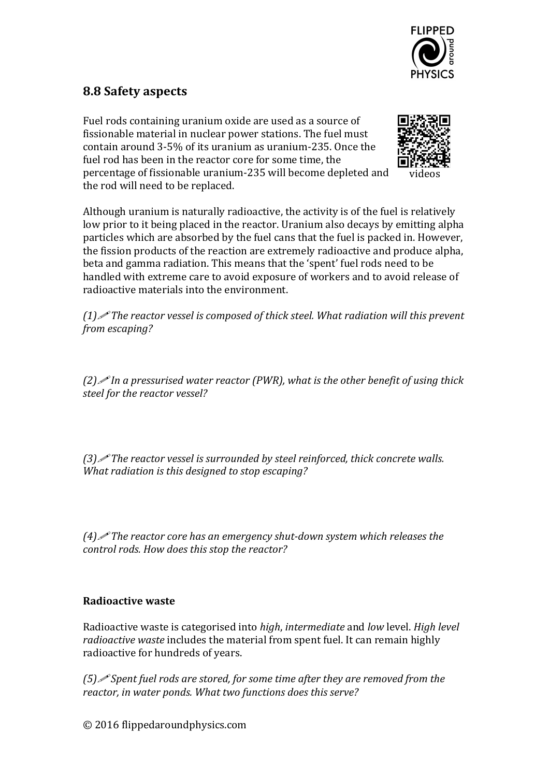

## **8.8 Safety aspects**

Fuel rods containing uranium oxide are used as a source of fissionable material in nuclear power stations. The fuel must contain around 3-5% of its uranium as uranium-235. Once the fuel rod has been in the reactor core for some time, the percentage of fissionable uranium-235 will become depleted and the rod will need to be replaced.



Although uranium is naturally radioactive, the activity is of the fuel is relatively low prior to it being placed in the reactor. Uranium also decays by emitting alpha particles which are absorbed by the fuel cans that the fuel is packed in. However, the fission products of the reaction are extremely radioactive and produce alpha, beta and gamma radiation. This means that the 'spent' fuel rods need to be handled with extreme care to avoid exposure of workers and to avoid release of radioactive materials into the environment.

*(1)* The reactor vessel is composed of thick steel. What radiation will this prevent *from escaping?*

*(2)* In a pressurised water reactor *(PWR)*, what is the other benefit of using thick *steel for the reactor vessel?*

*(3)* The reactor vessel is surrounded by steel reinforced, thick concrete walls. *What radiation is this desianed to stop escaping?* 

 $(4)$  *The reactor core has an emergency shut-down system which releases the* control rods. How does this stop the reactor?

## **Radioactive waste**

Radioactive waste is categorised into *high*, *intermediate* and *low* level. *High level radioactive waste* includes the material from spent fuel. It can remain highly radioactive for hundreds of years.

*(5) Spent fuel rods are stored, for some time after they are removed from the* reactor, in water ponds. What two functions does this serve?

© 2016 flippedaroundphysics.com